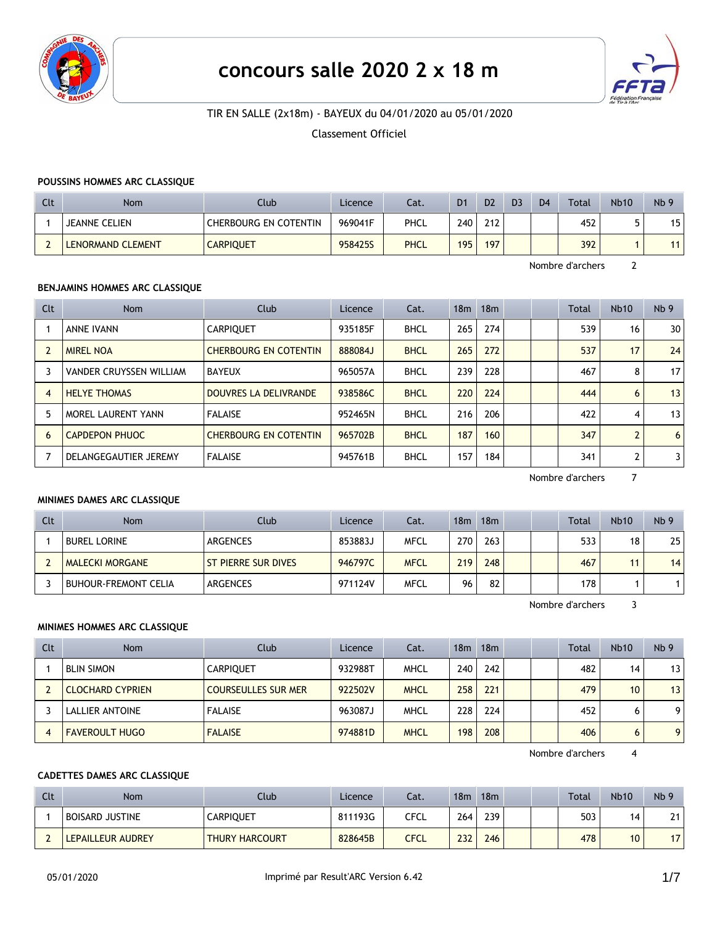

# **concours salle 2020 2 x 18 m**



# TIR EN SALLE (2x18m) - BAYEUX du 04/01/2020 au 05/01/2020

#### Classement Officiel

#### **POUSSINS HOMMES ARC CLASSIQUE**

| Clt | Nom                      | Club                  | Licence | Cat.        | D <sub>1</sub> | D <sub>2</sub> | D <sub>3</sub> | D <sub>4</sub> | <b>Total</b> | <b>Nb10</b> | Nb <sub>9</sub> |
|-----|--------------------------|-----------------------|---------|-------------|----------------|----------------|----------------|----------------|--------------|-------------|-----------------|
|     | <b>JEANNE CELIEN</b>     | CHERBOURG EN COTENTIN | 969041F | PHCL        | 240            | 212            |                |                | 452          |             | 15<br>ر ا       |
|     | <b>LENORMAND CLEMENT</b> | <b>CARPIQUET</b>      | 958425S | <b>PHCL</b> | 195            | 197            |                |                | 392          |             | 11              |

Nombre d'archers 2

## **BENJAMINS HOMMES ARC CLASSIQUE**

| Clt            | <b>Nom</b>                | Club                         | Licence | Cat.        | 18m | 18 <sub>m</sub> |  | <b>Total</b> | Nb10          | Nb <sub>9</sub> |
|----------------|---------------------------|------------------------------|---------|-------------|-----|-----------------|--|--------------|---------------|-----------------|
|                | ANNE IVANN                | <b>CARPIOUET</b>             | 935185F | <b>BHCL</b> | 265 | 274             |  | 539          | 16            | 30              |
|                | <b>MIREL NOA</b>          | <b>CHERBOURG EN COTENTIN</b> | 888084J | <b>BHCL</b> | 265 | 272             |  | 537          | 17            | 24              |
|                | VANDER CRUYSSEN WILLIAM   | BAYEUX                       | 965057A | <b>BHCL</b> | 239 | 228             |  | 467          | 8             | 17              |
| $\overline{4}$ | <b>HELYE THOMAS</b>       | <b>DOUVRES LA DELIVRANDE</b> | 938586C | <b>BHCL</b> | 220 | 224             |  | 444          | 6             | 13 <sup>1</sup> |
|                | <b>MOREL LAURENT YANN</b> | <b>FALAISE</b>               | 952465N | <b>BHCL</b> | 216 | 206             |  | 422          | 4             | 13              |
| 6              | <b>CAPDEPON PHUOC</b>     | <b>CHERBOURG EN COTENTIN</b> | 965702B | <b>BHCL</b> | 187 | 160             |  | 347          | $\mathcal{P}$ | 6               |
|                | DELANGEGAUTIER JEREMY     | <b>FALAISE</b>               | 945761B | <b>BHCL</b> | 157 | 184             |  | 341          | $\mathcal{P}$ | 31              |

Nombre d'archers 7

#### **MINIMES DAMES ARC CLASSIQUE**

| Clt | Nom                         | Club                | Licence | Cat.        | 18m | 18m |  | Total | <b>Nb10</b> | Nb <sub>9</sub> |
|-----|-----------------------------|---------------------|---------|-------------|-----|-----|--|-------|-------------|-----------------|
|     | <b>BUREL LORINE</b>         | ARGENCES            | 853883J | <b>MFCL</b> | 270 | 263 |  | 533   | 18          | 25              |
|     | <b>MALECKI MORGANE</b>      | ST PIERRE SUR DIVES | 946797C | <b>MFCL</b> | 219 | 248 |  | 467   | 11          | 14              |
|     | <b>BUHOUR-FREMONT CELIA</b> | ARGENCES            | 971124V | <b>MFCL</b> | 96  | 82  |  | 178   |             |                 |

Nombre d'archers 3

### **MINIMES HOMMES ARC CLASSIQUE**

| Clt | <b>Nom</b>              | Club                       | Licence | Cat.        | 18m | 18m |  | Total | Nb10 | Nb <sub>9</sub> |
|-----|-------------------------|----------------------------|---------|-------------|-----|-----|--|-------|------|-----------------|
|     | <b>BLIN SIMON</b>       | <b>CARPIQUET</b>           | 932988T | <b>MHCL</b> | 240 | 242 |  | 482   | 14   | 13              |
|     | <b>CLOCHARD CYPRIEN</b> | <b>COURSEULLES SUR MER</b> | 922502V | <b>MHCL</b> | 258 | 221 |  | 479   | 10   | 13              |
|     | LALLIER ANTOINE         | <b>FALAISE</b>             | 963087J | <b>MHCL</b> | 228 | 224 |  | 452   | 6    | 9               |
|     | <b>FAVEROULT HUGO</b>   | <b>FALAISE</b>             | 974881D | <b>MHCL</b> | 198 | 208 |  | 406   | 6    | 9               |

Nombre d'archers 4

## **CADETTES DAMES ARC CLASSIQUE**

| Clt | <b>Nom</b>        | Club                  | Licence | Cat. | 18 <sub>m</sub> | 18 <sub>m</sub> |  | Total | <b>Nb10</b> | Nb <sub>9</sub>  |
|-----|-------------------|-----------------------|---------|------|-----------------|-----------------|--|-------|-------------|------------------|
|     | BOISARD JUSTINE   | <b>CARPIQUET</b>      | 811193G | CFCL | 264             | 239             |  | 503   | 14          | 24<br><u>. i</u> |
|     | LEPAILLEUR AUDREY | <b>THURY HARCOURT</b> | 828645B | CFCL | 232             | 246             |  | 478   | 10          | $\overline{ }$   |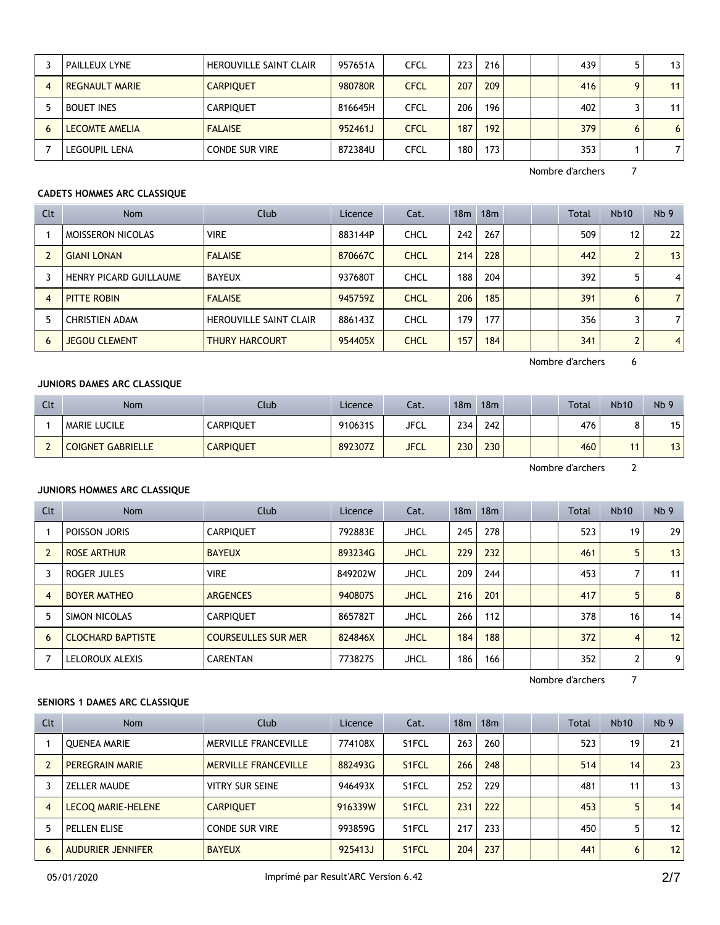| PAILLEUX LYNE         | HEROUVILLE SAINT CLAIR | 957651A | <b>CFCL</b> | 223 | 216 |  | 439 |   | 13 l            |
|-----------------------|------------------------|---------|-------------|-----|-----|--|-----|---|-----------------|
| REGNAULT MARIE        | <b>CARPIQUET</b>       | 980780R | <b>CFCL</b> | 207 | 209 |  | 416 |   | 11 <sub>1</sub> |
| <b>BOUET INES</b>     | <b>CARPIOUET</b>       | 816645H | <b>CFCL</b> | 206 | 196 |  | 402 |   | 11 <sub>1</sub> |
| <b>LECOMTE AMELIA</b> | <b>FALAISE</b>         | 952461J | <b>CFCL</b> | 187 | 192 |  | 379 | 6 | 6 <sup>1</sup>  |
| <b>LEGOUPIL LENA</b>  | <b>CONDE SUR VIRE</b>  | 872384U | <b>CFCL</b> | 180 | 173 |  | 353 |   |                 |

# **CADETS HOMMES ARC CLASSIQUE**

| Clt            | <b>Nom</b>               | Club                          | Licence | Cat.        | 18 <sub>m</sub> | 18 <sub>m</sub> |  | <b>Total</b> | <b>Nb10</b>    | Nb <sub>9</sub> |
|----------------|--------------------------|-------------------------------|---------|-------------|-----------------|-----------------|--|--------------|----------------|-----------------|
|                | <b>MOISSERON NICOLAS</b> | <b>VIRE</b>                   | 883144P | <b>CHCL</b> | 242             | 267             |  | 509          | 12             | 22              |
|                | <b>GIANI LONAN</b>       | <b>FALAISE</b>                | 870667C | <b>CHCL</b> | 214             | 228             |  | 442          | $\overline{2}$ | 13              |
|                | HENRY PICARD GUILLAUME   | <b>BAYEUX</b>                 | 937680T | CHCL        | 188             | 204             |  | 392          | 5              | $\overline{4}$  |
| $\overline{4}$ | PITTE ROBIN              | <b>FALAISE</b>                | 945759Z | <b>CHCL</b> | 206             | 185             |  | 391          | 6              | $\overline{7}$  |
|                | <b>CHRISTIEN ADAM</b>    | <b>HEROUVILLE SAINT CLAIR</b> | 886143Z | <b>CHCL</b> | 179             | 177             |  | 356          |                | $\overline{7}$  |
| 6              | <b>JEGOU CLEMENT</b>     | <b>THURY HARCOURT</b>         | 954405X | <b>CHCL</b> | 157             | 184             |  | 341          | $\overline{2}$ | $\overline{4}$  |

Nombre d'archers 6

## **JUNIORS DAMES ARC CLASSIQUE**

| Clt | <b>Nom</b>               | Club             | Licence | Cat.        | 18 <sub>m</sub> | 18m |  | <b>Total</b> | <b>Nb10</b> | Nb <sub>9</sub> |
|-----|--------------------------|------------------|---------|-------------|-----------------|-----|--|--------------|-------------|-----------------|
|     | <b>MARIE LUCILE</b>      | CARPIQUET        | 910631S | JFCL        | 234             | 242 |  | 476          |             | 15 <sub>1</sub> |
|     | <b>COIGNET GABRIELLE</b> | <b>CARPIQUET</b> | 892307Z | <b>JFCL</b> | 230             | 230 |  | 460          |             | 13 <sup>2</sup> |

Nombre d'archers 2

#### **JUNIORS HOMMES ARC CLASSIQUE**

| Clt            | <b>Nom</b>               | Club                       | Licence | Cat.        | 18 <sub>m</sub> | 18 <sub>m</sub> |  | Total | <b>Nb10</b> | Nb <sub>9</sub> |
|----------------|--------------------------|----------------------------|---------|-------------|-----------------|-----------------|--|-------|-------------|-----------------|
|                | POISSON JORIS            | <b>CARPIOUET</b>           | 792883E | <b>JHCL</b> | 245             | 278             |  | 523   | 19          | 29              |
|                | <b>ROSE ARTHUR</b>       | <b>BAYEUX</b>              | 893234G | <b>JHCL</b> | 229             | 232             |  | 461   | 5           | 13              |
|                | ROGER JULES              | <b>VIRE</b>                | 849202W | <b>JHCL</b> | 209             | 244             |  | 453   |             | 11              |
| $\overline{4}$ | <b>BOYER MATHEO</b>      | <b>ARGENCES</b>            | 940807S | <b>JHCL</b> | 216             | 201             |  | 417   | 5           | 8               |
|                | SIMON NICOLAS            | <b>CARPIOUET</b>           | 865782T | <b>JHCL</b> | 266             | 112             |  | 378   | 16          | 14              |
| 6              | <b>CLOCHARD BAPTISTE</b> | <b>COURSEULLES SUR MER</b> | 824846X | <b>JHCL</b> | 184             | 188             |  | 372   | 4           | 12              |
|                | LELOROUX ALEXIS          | <b>CARENTAN</b>            | 773827S | <b>JHCL</b> | 186             | 166             |  | 352   | C.          | 9               |

Nombre d'archers 7

# **SENIORS 1 DAMES ARC CLASSIQUE**

| Clt            | <b>Nom</b>               | Club                        | Licence | Cat.               | 18 <sub>m</sub> | 18m |  | <b>Total</b> | Nb10 | Nb <sub>9</sub> |
|----------------|--------------------------|-----------------------------|---------|--------------------|-----------------|-----|--|--------------|------|-----------------|
|                | <b>OUENEA MARIE</b>      | MERVILLE FRANCEVILLE        | 774108X | S1FCL              | 263             | 260 |  | 523          | 19   | 21              |
|                | <b>PEREGRAIN MARIE</b>   | <b>MERVILLE FRANCEVILLE</b> | 882493G | S <sub>1</sub> FCL | 266             | 248 |  | 514          | 14   | 23              |
|                | ZELLER MAUDE             | <b>VITRY SUR SEINE</b>      | 946493X | S <sub>1</sub> FCL | 252             | 229 |  | 481          | 11   | 13              |
| $\overline{4}$ | LECOQ MARIE-HELENE       | <b>CARPIQUET</b>            | 916339W | S <sub>1</sub> FCL | 231             | 222 |  | 453          | 5    | 14              |
|                | PELLEN ELISE             | <b>CONDE SUR VIRE</b>       | 993859G | S1FCL              | 217             | 233 |  | 450          | 5    | 12              |
| 6              | <b>AUDURIER JENNIFER</b> | <b>BAYEUX</b>               | 925413J | S <sub>1</sub> FCL | 204             | 237 |  | 441          | 6    | 12              |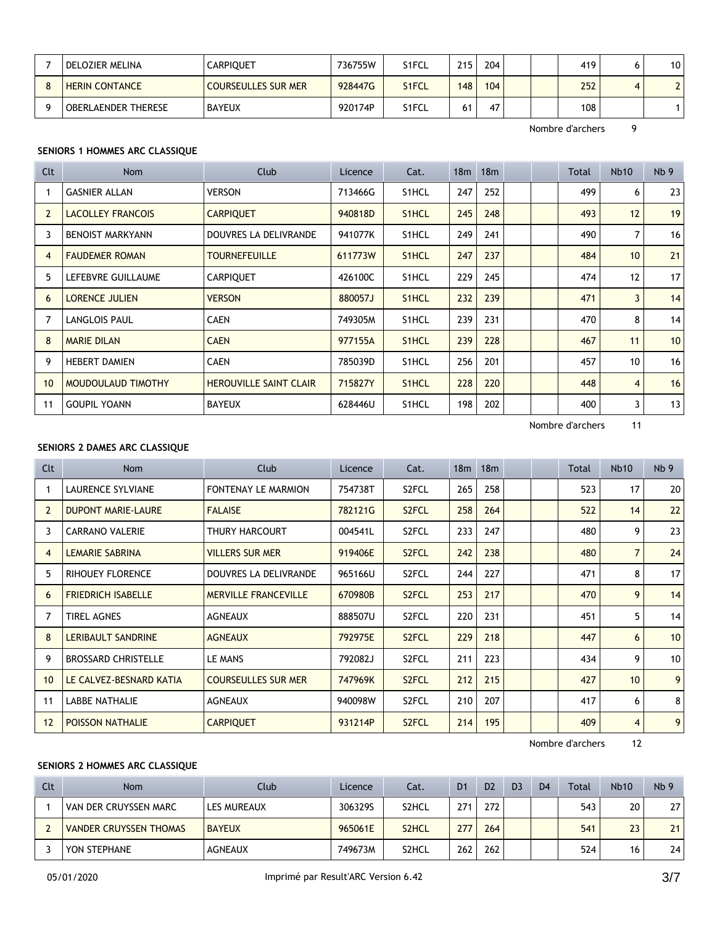| DELOZIER MELINA            | CARPIQUET           | 736755W | S1FCL              | 215 <sub>1</sub> | 204 |  | 419 | 10 <sup>°</sup> |
|----------------------------|---------------------|---------|--------------------|------------------|-----|--|-----|-----------------|
| <b>HERIN CONTANCE</b>      | COURSEULLES SUR MER | 928447G | S <sub>1</sub> FCL | 148              | 104 |  | 252 |                 |
| <b>OBERLAENDER THERESE</b> | <b>BAYEUX</b>       | 920174P | S1FCL              |                  | 47  |  | 108 |                 |

## **SENIORS 1 HOMMES ARC CLASSIQUE**

| Clt            | <b>Nom</b>               | Club                          | Licence | Cat.               | 18 <sub>m</sub> | 18 <sub>m</sub> |  | Total | <b>Nb10</b>    | Nb <sub>9</sub> |
|----------------|--------------------------|-------------------------------|---------|--------------------|-----------------|-----------------|--|-------|----------------|-----------------|
|                | <b>GASNIER ALLAN</b>     | <b>VERSON</b>                 | 713466G | S1HCL              | 247             | 252             |  | 499   | 6              | 23              |
| $\overline{2}$ | <b>LACOLLEY FRANCOIS</b> | <b>CARPIQUET</b>              | 940818D | S1HCL              | 245             | 248             |  | 493   | 12             | 19              |
| 3              | <b>BENOIST MARKYANN</b>  | DOUVRES LA DELIVRANDE         | 941077K | S1HCL              | 249             | 241             |  | 490   | 7              | 16              |
| $\overline{4}$ | <b>FAUDEMER ROMAN</b>    | <b>TOURNEFEUILLE</b>          | 611773W | S <sub>1</sub> HCL | 247             | 237             |  | 484   | 10             | 21              |
| 5              | LEFEBVRE GUILLAUME       | <b>CARPIQUET</b>              | 426100C | S <sub>1</sub> HCL | 229             | 245             |  | 474   | 12             | 17              |
| 6              | <b>LORENCE JULIEN</b>    | <b>VERSON</b>                 | 880057J | S1HCL              | 232             | 239             |  | 471   | $\overline{3}$ | 14              |
|                | <b>LANGLOIS PAUL</b>     | <b>CAEN</b>                   | 749305M | S1HCL              | 239             | 231             |  | 470   | 8              | 14              |
| 8              | <b>MARIE DILAN</b>       | <b>CAEN</b>                   | 977155A | S1HCL              | 239             | 228             |  | 467   | 11             | 10              |
| 9              | <b>HEBERT DAMIEN</b>     | <b>CAEN</b>                   | 785039D | S1HCL              | 256             | 201             |  | 457   | 10             | 16              |
| 10             | MOUDOULAUD TIMOTHY       | <b>HEROUVILLE SAINT CLAIR</b> | 715827Y | S1HCL              | 228             | 220             |  | 448   | $\overline{4}$ | 16              |
| 11             | <b>GOUPIL YOANN</b>      | <b>BAYEUX</b>                 | 628446U | S1HCL              | 198             | 202             |  | 400   | 3              | 13              |

Nombre d'archers 11

## **SENIORS 2 DAMES ARC CLASSIQUE**

| Clt            | Nom                        | Club                        | Licence | Cat.               | 18 <sub>m</sub> | 18 <sub>m</sub> |  | Total | <b>Nb10</b>     | Nb <sub>9</sub> |
|----------------|----------------------------|-----------------------------|---------|--------------------|-----------------|-----------------|--|-------|-----------------|-----------------|
|                | <b>LAURENCE SYLVIANE</b>   | <b>FONTENAY LE MARMION</b>  | 754738T | S <sub>2</sub> FCL | 265             | 258             |  | 523   | 17              | 20              |
| $\overline{2}$ | <b>DUPONT MARIE-LAURE</b>  | <b>FALAISE</b>              | 782121G | S <sub>2</sub> FCL | 258             | 264             |  | 522   | 14              | 22              |
| 3              | <b>CARRANO VALERIE</b>     | THURY HARCOURT              | 004541L | S <sub>2</sub> FCL | 233             | 247             |  | 480   | 9               | 23              |
| 4              | <b>LEMARIE SABRINA</b>     | <b>VILLERS SUR MER</b>      | 919406E | S <sub>2</sub> FCL | 242             | 238             |  | 480   | $\overline{7}$  | 24              |
| 5              | <b>RIHOUEY FLORENCE</b>    | DOUVRES LA DELIVRANDE       | 965166U | S <sub>2</sub> FCL | 244             | 227             |  | 471   | 8               | 17              |
| 6              | <b>FRIEDRICH ISABELLE</b>  | <b>MERVILLE FRANCEVILLE</b> | 670980B | S <sub>2</sub> FCL | 253             | 217             |  | 470   | 9               | 14              |
|                | <b>TIREL AGNES</b>         | <b>AGNEAUX</b>              | 888507U | S <sub>2</sub> FCL | 220             | 231             |  | 451   | 5               | 14              |
| 8              | LERIBAULT SANDRINE         | <b>AGNEAUX</b>              | 792975E | S <sub>2</sub> FCL | 229             | 218             |  | 447   | 6               | 10              |
| 9              | <b>BROSSARD CHRISTELLE</b> | LE MANS                     | 792082J | S <sub>2</sub> FCL | 211             | 223             |  | 434   | 9               | 10              |
| 10             | LE CALVEZ-BESNARD KATIA    | <b>COURSEULLES SUR MER</b>  | 747969K | S <sub>2</sub> FCL | 212             | 215             |  | 427   | 10 <sup>1</sup> | 9               |
| 11             | <b>LABBE NATHALIE</b>      | <b>AGNEAUX</b>              | 940098W | S <sub>2</sub> FCL | 210             | 207             |  | 417   | 6               | 8               |
| 12             | <b>POISSON NATHALIE</b>    | <b>CARPIQUET</b>            | 931214P | S <sub>2</sub> FCL | 214             | 195             |  | 409   | $\overline{4}$  | 9               |

Nombre d'archers 12

## **SENIORS 2 HOMMES ARC CLASSIQUE**

| Clt | Nom                           | Club           | Licence | Cat.               | D <sub>1</sub> | D <sub>2</sub> | D <sub>3</sub> | D <sub>4</sub> | Total | <b>Nb10</b> | Nb <sub>9</sub> |
|-----|-------------------------------|----------------|---------|--------------------|----------------|----------------|----------------|----------------|-------|-------------|-----------------|
|     | VAN DER CRUYSSEN MARC         | LES MUREAUX    | 306329S | S2HCL              | 271            | 272            |                |                | 543   | 20          | 27              |
|     | <b>VANDER CRUYSSEN THOMAS</b> | <b>BAYEUX</b>  | 965061E | S <sub>2</sub> HCL | 277            | 264            |                |                | 541   | 23          | 21              |
|     | YON STEPHANE                  | <b>AGNEAUX</b> | 749673M | S2HCL              | 262            | 262            |                |                | 524   | 16          | 24              |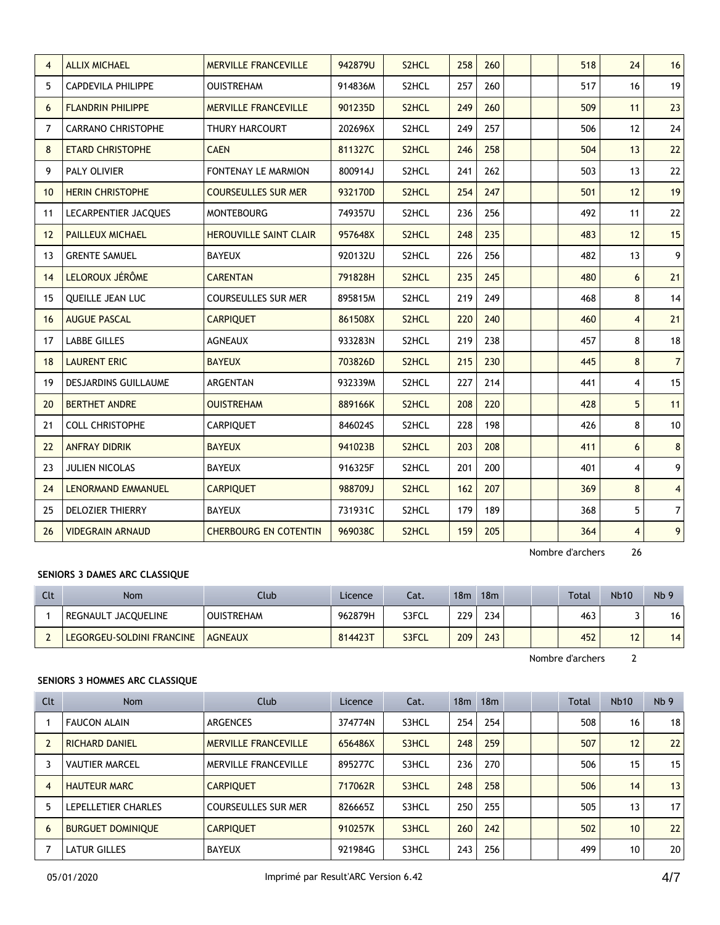| 4  | <b>ALLIX MICHAEL</b>        | <b>MERVILLE FRANCEVILLE</b>   | 942879U | S <sub>2</sub> HCL | 258 | 260 |  | 518 | 24             | 16             |
|----|-----------------------------|-------------------------------|---------|--------------------|-----|-----|--|-----|----------------|----------------|
| 5  | <b>CAPDEVILA PHILIPPE</b>   | <b>OUISTREHAM</b>             | 914836M | S2HCL              | 257 | 260 |  | 517 | 16             | 19             |
| 6  | <b>FLANDRIN PHILIPPE</b>    | <b>MERVILLE FRANCEVILLE</b>   | 901235D | S <sub>2</sub> HCL | 249 | 260 |  | 509 | 11             | 23             |
| 7  | <b>CARRANO CHRISTOPHE</b>   | THURY HARCOURT                | 202696X | S2HCL              | 249 | 257 |  | 506 | 12             | 24             |
| 8  | <b>ETARD CHRISTOPHE</b>     | <b>CAEN</b>                   | 811327C | S <sub>2</sub> HCL | 246 | 258 |  | 504 | 13             | 22             |
| 9  | PALY OLIVIER                | FONTENAY LE MARMION           | 800914J | S2HCL              | 241 | 262 |  | 503 | 13             | 22             |
| 10 | <b>HERIN CHRISTOPHE</b>     | <b>COURSEULLES SUR MER</b>    | 932170D | S <sub>2</sub> HCL | 254 | 247 |  | 501 | 12             | 19             |
| 11 | <b>LECARPENTIER JACOUES</b> | <b>MONTEBOURG</b>             | 749357U | S2HCL              | 236 | 256 |  | 492 | 11             | 22             |
| 12 | <b>PAILLEUX MICHAEL</b>     | <b>HEROUVILLE SAINT CLAIR</b> | 957648X | S <sub>2</sub> HCL | 248 | 235 |  | 483 | 12             | 15             |
| 13 | <b>GRENTE SAMUEL</b>        | <b>BAYEUX</b>                 | 920132U | S2HCL              | 226 | 256 |  | 482 | 13             | 9              |
| 14 | LELOROUX JÉRÔME             | <b>CARENTAN</b>               | 791828H | S2HCL              | 235 | 245 |  | 480 | 6              | 21             |
| 15 | QUEILLE JEAN LUC            | <b>COURSEULLES SUR MER</b>    | 895815M | S2HCL              | 219 | 249 |  | 468 | 8              | 14             |
| 16 | <b>AUGUE PASCAL</b>         | <b>CARPIQUET</b>              | 861508X | S2HCL              | 220 | 240 |  | 460 | $\overline{4}$ | 21             |
| 17 | <b>LABBE GILLES</b>         | <b>AGNEAUX</b>                | 933283N | S2HCL              | 219 | 238 |  | 457 | 8              | 18             |
| 18 | <b>LAURENT ERIC</b>         | <b>BAYEUX</b>                 | 703826D | S <sub>2</sub> HCL | 215 | 230 |  | 445 | 8              | $\overline{7}$ |
| 19 | <b>DESJARDINS GUILLAUME</b> | <b>ARGENTAN</b>               | 932339M | S2HCL              | 227 | 214 |  | 441 | 4              | 15             |
| 20 | <b>BERTHET ANDRE</b>        | <b>OUISTREHAM</b>             | 889166K | S <sub>2</sub> HCL | 208 | 220 |  | 428 | 5              | 11             |
| 21 | <b>COLL CHRISTOPHE</b>      | <b>CARPIQUET</b>              | 846024S | S2HCL              | 228 | 198 |  | 426 | 8              | 10             |
| 22 | <b>ANFRAY DIDRIK</b>        | <b>BAYEUX</b>                 | 941023B | S2HCL              | 203 | 208 |  | 411 | 6              | $8\phantom{1}$ |
| 23 | JULIEN NICOLAS              | <b>BAYEUX</b>                 | 916325F | S2HCL              | 201 | 200 |  | 401 | $\overline{4}$ | 9              |
| 24 | LENORMAND EMMANUEL          | <b>CARPIQUET</b>              | 988709J | S <sub>2</sub> HCL | 162 | 207 |  | 369 | 8              | $\overline{4}$ |
| 25 | <b>DELOZIER THIERRY</b>     | <b>BAYEUX</b>                 | 731931C | S2HCL              | 179 | 189 |  | 368 | 5              | $\overline{7}$ |
| 26 | <b>VIDEGRAIN ARNAUD</b>     | <b>CHERBOURG EN COTENTIN</b>  | 969038C | S <sub>2</sub> HCL | 159 | 205 |  | 364 | $\overline{4}$ | 9              |

## **SENIORS 3 DAMES ARC CLASSIQUE**

| Clt | Nom                       | Club              | Licence | Cat.  | 18 <sub>m</sub> | 18 <sub>m</sub> |  | Total | <b>Nb10</b> | Nb <sub>9</sub> |
|-----|---------------------------|-------------------|---------|-------|-----------------|-----------------|--|-------|-------------|-----------------|
|     | REGNAULT JACQUELINE       | <b>OUISTREHAM</b> | 962879H | S3FCL | 229             | 234             |  | 463   |             | 16              |
|     | LEGORGEU-SOLDINI FRANCINE | <b>AGNEAUX</b>    | 814423T | S3FCL | 209             | 243             |  | 452   |             | 14              |

Nombre d'archers 2

## **SENIORS 3 HOMMES ARC CLASSIQUE**

| Clt            | <b>Nom</b>               | Club                        | Licence | Cat.  | 18 <sub>m</sub> | 18 <sub>m</sub> |  | Total | <b>Nb10</b> | Nb <sub>9</sub> |
|----------------|--------------------------|-----------------------------|---------|-------|-----------------|-----------------|--|-------|-------------|-----------------|
|                | <b>FAUCON ALAIN</b>      | ARGENCES                    | 374774N | S3HCL | 254             | 254             |  | 508   | 16          | 18              |
|                | <b>RICHARD DANIEL</b>    | <b>MERVILLE FRANCEVILLE</b> | 656486X | S3HCL | 248             | 259             |  | 507   | 12          | 22              |
|                | <b>VAUTIER MARCEL</b>    | MERVILLE FRANCEVILLE        | 895277C | S3HCL | 236             | 270             |  | 506   | 15          | 15              |
| $\overline{4}$ | <b>HAUTEUR MARC</b>      | <b>CARPIOUET</b>            | 717062R | S3HCL | 248             | 258             |  | 506   | 14          | 13              |
| 5              | LEPELLETIER CHARLES      | <b>COURSEULLES SUR MER</b>  | 826665Z | S3HCL | 250             | 255             |  | 505   | 13          | 17              |
| 6              | <b>BURGUET DOMINIOUE</b> | <b>CARPIOUET</b>            | 910257K | S3HCL | 260             | 242             |  | 502   | 10          | 22              |
|                | <b>LATUR GILLES</b>      | <b>BAYEUX</b>               | 921984G | S3HCL | 243             | 256             |  | 499   | 10          | 20              |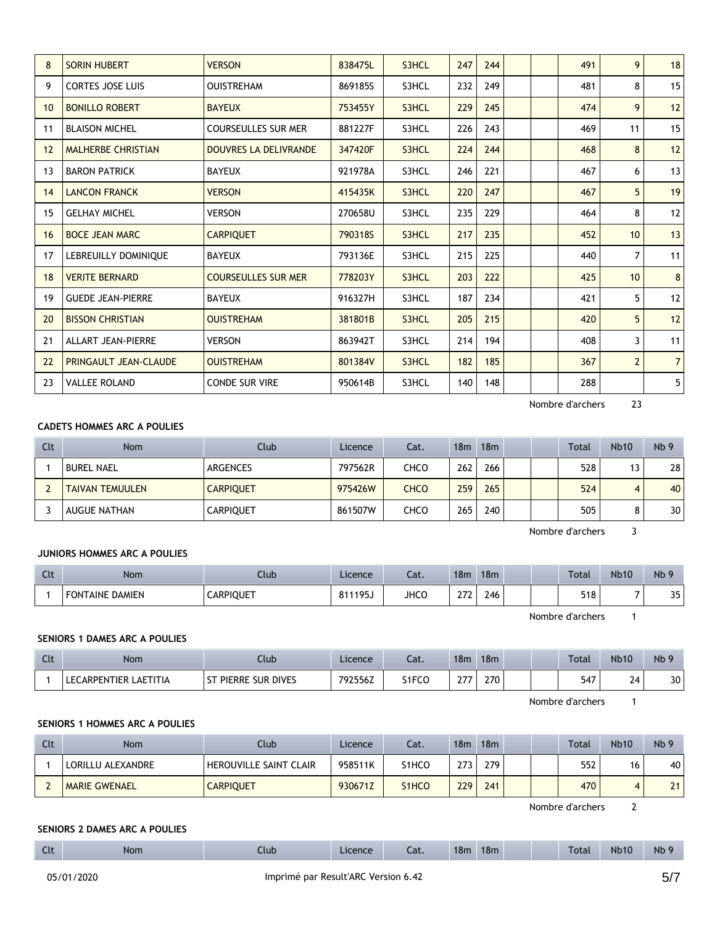| 8  | <b>SORIN HUBERT</b>       | <b>VERSON</b>                | 838475L | S3HCL | 247 | 244 |  | 491 | 9              | 18             |
|----|---------------------------|------------------------------|---------|-------|-----|-----|--|-----|----------------|----------------|
| 9  | <b>CORTES JOSE LUIS</b>   | <b>OUISTREHAM</b>            | 869185S | S3HCL | 232 | 249 |  | 481 | 8              | 15             |
| 10 | <b>BONILLO ROBERT</b>     | <b>BAYEUX</b>                | 753455Y | S3HCL | 229 | 245 |  | 474 | 9              | 12             |
| 11 | <b>BLAISON MICHEL</b>     | COURSEULLES SUR MER          | 881227F | S3HCL | 226 | 243 |  | 469 | 11             | 15             |
| 12 | <b>MALHERBE CHRISTIAN</b> | <b>DOUVRES LA DELIVRANDE</b> | 347420F | S3HCL | 224 | 244 |  | 468 | 8              | 12             |
| 13 | <b>BARON PATRICK</b>      | <b>BAYEUX</b>                | 921978A | S3HCL | 246 | 221 |  | 467 | 6              | 13             |
| 14 | <b>LANCON FRANCK</b>      | <b>VERSON</b>                | 415435K | S3HCL | 220 | 247 |  | 467 | 5              | 19             |
| 15 | <b>GELHAY MICHEL</b>      | VERSON                       | 270658U | S3HCL | 235 | 229 |  | 464 | 8              | 12             |
| 16 | <b>BOCE JEAN MARC</b>     | <b>CARPIQUET</b>             | 790318S | S3HCL | 217 | 235 |  | 452 | 10             | 13             |
| 17 | LEBREUILLY DOMINIQUE      | <b>BAYEUX</b>                | 793136E | S3HCL | 215 | 225 |  | 440 | $\overline{7}$ | 11             |
| 18 | <b>VERITE BERNARD</b>     | <b>COURSEULLES SUR MER</b>   | 778203Y | S3HCL | 203 | 222 |  | 425 | 10             | 8              |
| 19 | <b>GUEDE JEAN-PIERRE</b>  | <b>BAYEUX</b>                | 916327H | S3HCL | 187 | 234 |  | 421 | 5              | 12             |
| 20 | <b>BISSON CHRISTIAN</b>   | <b>OUISTREHAM</b>            | 381801B | S3HCL | 205 | 215 |  | 420 | 5              | 12             |
| 21 | <b>ALLART JEAN-PIERRE</b> | <b>VERSON</b>                | 863942T | S3HCL | 214 | 194 |  | 408 | 3              | 11             |
| 22 | PRINGAULT JEAN-CLAUDE     | <b>OUISTREHAM</b>            | 801384V | S3HCL | 182 | 185 |  | 367 | $\overline{2}$ | $\overline{7}$ |
| 23 | <b>VALLEE ROLAND</b>      | <b>CONDE SUR VIRE</b>        | 950614B | S3HCL | 140 | 148 |  | 288 |                | 5              |
|    |                           |                              |         |       |     |     |  |     |                |                |

## **CADETS HOMMES ARC A POULIES**

| Clt | <b>Nom</b>             | Club             | Licence | Cat. | 18 <sub>m</sub> | 18m |  | <b>Total</b> | <b>Nb10</b> | Nb <sub>9</sub> |
|-----|------------------------|------------------|---------|------|-----------------|-----|--|--------------|-------------|-----------------|
|     | <b>BUREL NAEL</b>      | ARGENCES         | 797562R | CHCO | 262             | 266 |  | 528          | 13          | 28 <sub>1</sub> |
|     | <b>TAIVAN TEMUULEN</b> | <b>CARPIQUET</b> | 975426W | CHCO | 259             | 265 |  | 524          |             | 40              |
|     | <b>AUGUE NATHAN</b>    | <b>CARPIOUET</b> | 861507W | снсо | 265             | 240 |  | 505          |             | 30 <sub>1</sub> |

Nombre d'archers 3

#### **JUNIORS HOMMES ARC A POULIES**

| Clt | <b>Nom</b>             | Jlub             | Licence | Cat.        | 18 <sub>m</sub> | 18 <sub>m</sub> |  | <b>Total</b> | <b>Nb10</b> | Nb 9      |
|-----|------------------------|------------------|---------|-------------|-----------------|-----------------|--|--------------|-------------|-----------|
|     | <b>FONTAINE DAMIEN</b> | <b>CARPIQUET</b> | 811195J | <b>JHCO</b> | 27              | 246             |  | 518          |             | 25<br>ر ر |

Nombre d'archers 1

#### **SENIORS 1 DAMES ARC A POULIES**

| Clt | <b>Nom</b>                        | Club                        | Licence | Cat.  | 18 <sub>m</sub> | 18m |  | <b>Total</b> | <b>Nb10</b> | Nb <sub>9</sub> |
|-----|-----------------------------------|-----------------------------|---------|-------|-----------------|-----|--|--------------|-------------|-----------------|
|     | LAETITIA<br><b>LECARPENTIER L</b> | PIERRE SUR DIVES<br>$^{c+}$ | 792556Z | S1FCO | 77              | 270 |  | 547          | 24          | 30              |

Nombre d'archers 1

## **SENIORS 1 HOMMES ARC A POULIES**

| Clt | <b>Nom</b>           | Club                   | Licence | Cat.  | 18m | 18m |  | <b>Total</b> | <b>Nb10</b> | Nb <sub>9</sub> |
|-----|----------------------|------------------------|---------|-------|-----|-----|--|--------------|-------------|-----------------|
|     | LORILLU ALEXANDRE    | HEROUVILLE SAINT CLAIR | 958511K | S1HCO | 273 | 279 |  | 552          | 16          | 40              |
|     | <b>MARIE GWENAEL</b> | <b>CARPIQUET</b>       | 930671Z | S1HCO | 229 | 241 |  | 470          |             | 21              |

Nombre d'archers 2

#### **SENIORS 2 DAMES ARC A POULIES**

| <b>Clt</b> | Non. | Jlub | Licence | Cat. | 18 <sub>m</sub> | 18 <sub>m</sub> |  | <b>Total</b> | <b>Nb10</b> | N <sub>b</sub> |
|------------|------|------|---------|------|-----------------|-----------------|--|--------------|-------------|----------------|
|            |      |      |         |      |                 |                 |  |              |             |                |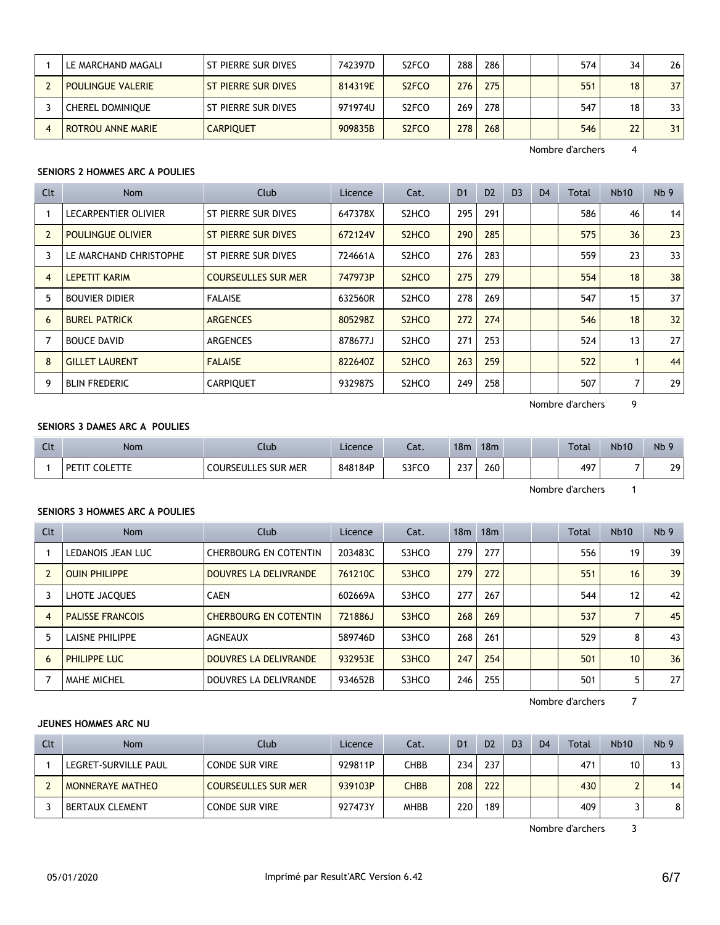| LE MARCHAND MAGALI       | ST PIERRE SUR DIVES | 742397D | S <sub>2</sub> FCO | 288 | 286 |  | 574 | 34 | 26              |
|--------------------------|---------------------|---------|--------------------|-----|-----|--|-----|----|-----------------|
| <b>POULINGUE VALERIE</b> | ST PIERRE SUR DIVES | 814319E | S <sub>2</sub> FCO | 276 | 275 |  | 551 | 18 | 37 <sup>1</sup> |
| <b>CHEREL DOMINIOUE</b>  | ST PIERRE SUR DIVES | 971974U | S <sub>2</sub> FCO | 269 | 278 |  | 547 | 18 | 33 I            |
| <b>ROTROU ANNE MARIE</b> | <b>CARPIOUET</b>    | 909835B | S <sub>2</sub> FCO | 278 | 268 |  | 546 | 22 | 31              |

# **SENIORS 2 HOMMES ARC A POULIES**

| Clt            | Nom                         | Club                       | Licence | Cat.                           | D <sub>1</sub> | D <sub>2</sub> | D <sub>3</sub> | D <sub>4</sub> | Total | <b>Nb10</b>    | Nb <sub>9</sub> |
|----------------|-----------------------------|----------------------------|---------|--------------------------------|----------------|----------------|----------------|----------------|-------|----------------|-----------------|
|                | <b>LECARPENTIER OLIVIER</b> | ST PIERRE SUR DIVES        | 647378X | S <sub>2</sub> HC <sub>O</sub> | 295            | 291            |                |                | 586   | 46             | 14              |
| $\overline{2}$ | <b>POULINGUE OLIVIER</b>    | <b>ST PIERRE SUR DIVES</b> | 672124V | S <sub>2</sub> HC <sub>O</sub> | 290            | 285            |                |                | 575   | 36             | 23              |
| 3              | LE MARCHAND CHRISTOPHE      | ST PIERRE SUR DIVES        | 724661A | S <sub>2</sub> HC <sub>O</sub> | 276            | 283            |                |                | 559   | 23             | 33              |
| 4              | <b>LEPETIT KARIM</b>        | <b>COURSEULLES SUR MER</b> | 747973P | S <sub>2</sub> HC <sub>O</sub> | 275            | 279            |                |                | 554   | 18             | 38              |
| 5              | <b>BOUVIER DIDIER</b>       | <b>FALAISE</b>             | 632560R | S <sub>2</sub> HC <sub>O</sub> | 278            | 269            |                |                | 547   | 15             | 37              |
| 6              | <b>BUREL PATRICK</b>        | <b>ARGENCES</b>            | 805298Z | S <sub>2</sub> HC <sub>O</sub> | 272            | 274            |                |                | 546   | 18             | 32              |
|                | <b>BOUCE DAVID</b>          | ARGENCES                   | 878677J | S <sub>2</sub> HC <sub>O</sub> | 271            | 253            |                |                | 524   | 13             | 27              |
| 8              | <b>GILLET LAURENT</b>       | <b>FALAISE</b>             | 822640Z | S <sub>2</sub> HC <sub>O</sub> | 263            | 259            |                |                | 522   |                | 44              |
| 9              | <b>BLIN FREDERIC</b>        | <b>CARPIOUET</b>           | 932987S | S <sub>2</sub> HC <sub>O</sub> | 249            | 258            |                |                | 507   | $\overline{7}$ | 29              |

Nombre d'archers 9

## **SENIORS 3 DAMES ARC A POULIES**

| Clt | <b>Nom</b>              | Club                       | Licence | Cat.  | 18 <sub>m</sub> | 18 <sub>m</sub> |  | <b>Total</b> | <b>Nb10</b> | N <sub>b</sub> |
|-----|-------------------------|----------------------------|---------|-------|-----------------|-----------------|--|--------------|-------------|----------------|
|     | <b>COLETTE</b><br>PETIT | <b>COURSEULLES SUR MER</b> | 848184P | S3FCO | דרר<br>231      | 260             |  | 497          | -           | 29             |

Nombre d'archers 1

## **SENIORS 3 HOMMES ARC A POULIES**

| Clt | Nom                     | Club                         | Licence | Cat.  | 18 <sub>m</sub> | 18m |  | Total | Nb10           | Nb <sub>9</sub> |
|-----|-------------------------|------------------------------|---------|-------|-----------------|-----|--|-------|----------------|-----------------|
|     | LEDANOIS JEAN LUC       | CHERBOURG EN COTENTIN        | 203483C | S3HCO | 279             | 277 |  | 556   | 19             | 39              |
|     | <b>OUIN PHILIPPE</b>    | DOUVRES LA DELIVRANDE        | 761210C | S3HCO | 279             | 272 |  | 551   | 16             | 39              |
| 3   | LHOTE JACQUES           | <b>CAEN</b>                  | 602669A | S3HCO | 277             | 267 |  | 544   | 12             | 42              |
| 4   | <b>PALISSE FRANCOIS</b> | <b>CHERBOURG EN COTENTIN</b> | 721886J | S3HCO | 268             | 269 |  | 537   | $\overline{ }$ | 45              |
| 5   | LAISNE PHILIPPE         | <b>AGNEAUX</b>               | 589746D | S3HCO | 268             | 261 |  | 529   | 8              | 43              |
| 6   | PHILIPPE LUC            | DOUVRES LA DELIVRANDE        | 932953E | S3HCO | 247             | 254 |  | 501   | 10             | 36              |
|     | <b>MAHE MICHEL</b>      | DOUVRES LA DELIVRANDE        | 934652B | S3HCO | 246             | 255 |  | 501   | 5              | 27              |

Nombre d'archers 7

#### **JEUNES HOMMES ARC NU**

| Clt | Nom                     | Club                  | Licence | Cat.        | D <sub>1</sub> | D <sub>2</sub> | D <sub>3</sub> | D <sub>4</sub> | Total | <b>Nb10</b> | Nb <sub>9</sub> |
|-----|-------------------------|-----------------------|---------|-------------|----------------|----------------|----------------|----------------|-------|-------------|-----------------|
|     | LEGRET-SURVILLE PAUL    | <b>CONDE SUR VIRE</b> | 929811P | CHBB        | 234            | 237            |                |                | 471   | 10          | 13              |
|     | <b>MONNERAYE MATHEO</b> | COURSEULLES SUR MER   | 939103P | CHBB        | 208            | 222            |                |                | 430   |             | 14              |
|     | <b>BERTAUX CLEMENT</b>  | <b>CONDE SUR VIRE</b> | 927473Y | <b>MHBB</b> | 220            | 189            |                |                | 409   |             | 8               |

Nombre d'archers 3